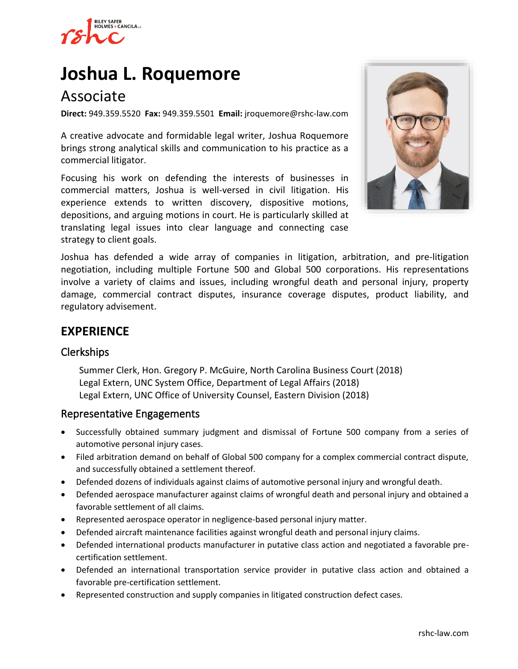

# **[Joshua L. Roquemore](https://www.rshc-law.com/attorneys/attorney/joshua-l.-roquemore)**

## Associate

**Direct:** 949.359.5520 **Fax:** 949.359.5501 **Email:** jroquemore@rshc-law.com

A creative advocate and formidable legal writer, Joshua Roquemore brings strong analytical skills and communication to his practice as a commercial litigator.

Focusing his work on defending the interests of businesses in commercial matters, Joshua is well-versed in civil litigation. His experience extends to written discovery, dispositive motions, depositions, and arguing motions in court. He is particularly skilled at translating legal issues into clear language and connecting case strategy to client goals.



Joshua has defended a wide array of companies in litigation, arbitration, and pre-litigation negotiation, including multiple Fortune 500 and Global 500 corporations. His representations involve a variety of claims and issues, including wrongful death and personal injury, property damage, commercial contract disputes, insurance coverage disputes, product liability, and regulatory advisement.

## **EXPERIENCE**

## Clerkships

Summer Clerk, Hon. Gregory P. McGuire, North Carolina Business Court (2018) Legal Extern, UNC System Office, Department of Legal Affairs (2018) Legal Extern, UNC Office of University Counsel, Eastern Division (2018)

#### Representative Engagements

- Successfully obtained summary judgment and dismissal of Fortune 500 company from a series of automotive personal injury cases.
- Filed arbitration demand on behalf of Global 500 company for a complex commercial contract dispute, and successfully obtained a settlement thereof.
- Defended dozens of individuals against claims of automotive personal injury and wrongful death.
- Defended aerospace manufacturer against claims of wrongful death and personal injury and obtained a favorable settlement of all claims.
- Represented aerospace operator in negligence-based personal injury matter.
- Defended aircraft maintenance facilities against wrongful death and personal injury claims.
- Defended international products manufacturer in putative class action and negotiated a favorable precertification settlement.
- Defended an international transportation service provider in putative class action and obtained a favorable pre-certification settlement.
- Represented construction and supply companies in litigated construction defect cases.